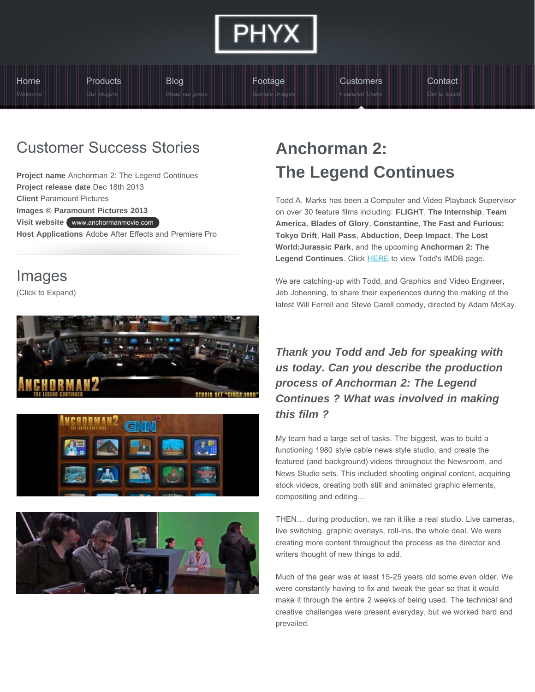

<span id="page-0-0"></span>[Home](http://www.phyxware.com/index.html)

[Blog](http://www.phyxware.com/blog.html) *[Read our posts](http://www.phyxware.com/blog.html)*

[Footage](http://www.phyxware.com/footage.html)

**[Customers](http://www.phyxware.com/customers.html)** *[Featured Users](http://www.phyxware.com/customers.html)* **[Contact](http://www.phyxware.com/contact.html)** *[Get in touch](http://www.phyxware.com/contact.html)*

## Customer Success Stories

**[Products](http://www.phyxware.com/products.html)** *[Our plugins](http://www.phyxware.com/products.html)*

**Project name** Anchorman 2: The Legend Continues **Project release date** Dec 18th 2013 **Client** Paramount Pictures **Images © Paramount Pictures 2013 Visit website** [www.anchormanmovie.com](#page-0-0) **Host Applications** Adobe After Effects and Premiere Pro

### Images

(Click to Expand)







# **Anchorman 2: The Legend Continues**

Todd A. Marks has been a Computer and Video Playback Supervisor on over 30 feature films including: **FLIGHT**, **The Internship**, **Team America**, **Blades of Glory**, **Constantine**, **The Fast and Furious: Tokyo Drift**, **Hall Pass**, **Abduction**, **Deep Impact**, **The Lost World:Jurassic Park**, and the upcoming **Anchorman 2: The Legend Continues**. Click [HERE](http://www.imdb.com/name/nm0548977/) to view Todd's IMDB page.

We are catching-up with Todd, and Graphics and Video Engineer, Jeb Johenning, to share their experiences during the making of the latest Will Ferrell and Steve Carell comedy, directed by Adam McKay.

#### *Thank you Todd and Jeb for speaking with us today. Can you describe the production process of Anchorman 2: The Legend Continues ? What was involved in making this film ?*

My team had a large set of tasks. The biggest, was to build a functioning 1980 style cable news style studio, and create the featured (and background) videos throughout the Newsroom, and News Studio sets. This included shooting original content, acquiring stock videos, creating both still and animated graphic elements, compositing and editing…

THEN… during production, we ran it like a real studio. Live cameras, live switching, graphic overlays, roll-ins, the whole deal. We were creating more content throughout the process as the director and writers thought of new things to add.

Much of the gear was at least 15-25 years old some even older. We were constantly having to fix and tweak the gear so that it would make it through the entire 2 weeks of being used. The technical and creative challenges were present everyday, but we worked hard and prevailed.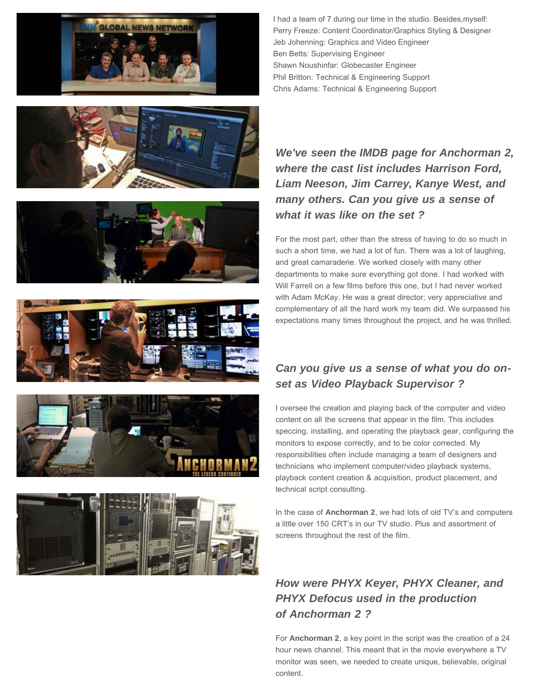











I had a team of 7 during our time in the studio. Besides,myself: Perry Freeze: Content Coordinator/Graphics Styling & Designer Jeb Johenning: Graphics and Video Engineer Ben Betts: Supervising Engineer Shawn Noushinfar: Globecaster Engineer Phil Britton: Technical & Engineering Support Chris Adams: Technical & Engineering Support

*We've seen the IMDB page for Anchorman 2, where the cast list includes Harrison Ford, Liam Neeson, Jim Carrey, Kanye West, and many others. Can you give us a sense of what it was like on the set ?*

For the most part, other than the stress of having to do so much in such a short time, we had a lot of fun. There was a lot of laughing, and great camaraderie. We worked closely with many other departments to make sure everything got done. I had worked with Will Farrell on a few films before this one, but I had never worked with Adam McKay. He was a great director; very appreciative and complementary of all the hard work my team did. We surpassed his expectations many times throughout the project, and he was thrilled.

#### *Can you give us a sense of what you do onset as Video Playback Supervisor ?*

I oversee the creation and playing back of the computer and video content on all the screens that appear in the film. This includes speccing, installing, and operating the playback gear, configuring the monitors to expose correctly, and to be color corrected. My responsibilities often include managing a team of designers and technicians who implement computer/video playback systems, playback content creation & acquisition, product placement, and technical script consulting.

In the case of **Anchorman 2**, we had lots of old TV's and computers a little over 150 CRT's in our TV studio. Plus and assortment of screens throughout the rest of the film.

#### *How were PHYX Keyer, PHYX Cleaner, and PHYX Defocus used in the production of Anchorman 2 ?*

For **Anchorman 2**, a key point in the script was the creation of a 24 hour news channel. This meant that in the movie everywhere a TV monitor was seen, we needed to create unique, believable, original content.